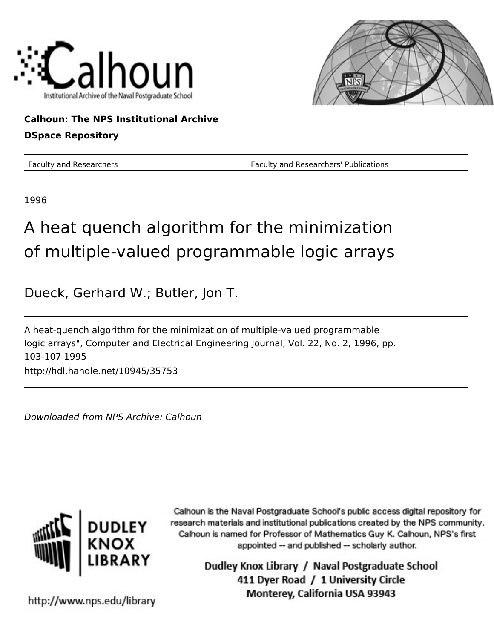



## **Calhoun: The NPS Institutional Archive DSpace Repository**

Faculty and Researchers Faculty and Researchers' Publications

1996

# A heat quench algorithm for the minimization of multiple-valued programmable logic arrays

Dueck, Gerhard W.; Butler, Jon T.

A heat-quench algorithm for the minimization of multiple-valued programmable logic arrays", Computer and Electrical Engineering Journal, Vol. 22, No. 2, 1996, pp. 103-107 1995 http://hdl.handle.net/10945/35753

Downloaded from NPS Archive: Calhoun



Calhoun is the Naval Postgraduate School's public access digital repository for research materials and institutional publications created by the NPS community. Calhoun is named for Professor of Mathematics Guy K. Calhoun, NPS's first appointed -- and published -- scholarly author.

> Dudley Knox Library / Naval Postgraduate School 411 Dyer Road / 1 University Circle Monterey, California USA 93943

http://www.nps.edu/library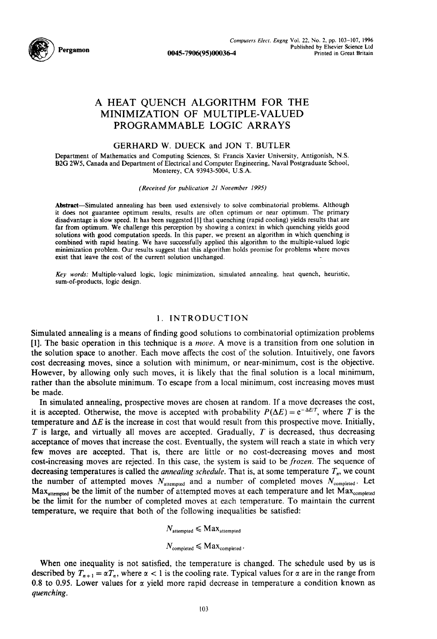

### A HEAT QUENCH ALGORITHM FOR THE MINIMIZATION OF MULTIPLE-VALUED PROGRAMMABLE LOGIC ARRAYS

#### GERHARD W. DUECK and JON T. BUTLER

Department of Mathematics and Computing Sciences, St Francis Xavier University, Antigonish, N.S. B2G 2W5, Canada and Department of Electrical and Computer Engineering, Naval Postgraduate School, Monterey, CA 93943-5004, U.S.A.

#### *(Received for publication 21 November 1995)*

Abstract-Simulated annealing has been used extensively to solve combinatorial problems. Although it does not guarantee optimum results, results are often optimum or near optimum. The primary disadvantage is slow speed. It has been suggested [1] that quenching (rapid cooling) yields results that are far from optimum. We challenge this perception by showing a context in which quenching yields good solutions with good computation speeds. In this paper, we present an algorithm in which quenching is combined with rapid heating. We have successfully applied this algorithm to the multiple-valued logic minimization problem. Our results suggest that this algorithm holds promise for problems where moves exist that leave the cost of the current solution unchanged.

*Key words:* Multiple-valued logic, logic minimization, simulated annealing, heat quench, heuristic, sum-of-products, logic design.

#### 1. INTRODUCTION

Simulated annealing is a means of finding good solutions to combinatorial optimization problems [1]. The basic operation in this technique is a *move.* A move is a transition from one solution in the solution space to another. Each move affects the cost of the solution. Intuitively, one favors cost decreasing moves, since a solution with minimum, or near-minimum, cost is the objective. However, by allowing only such moves, it is likely that the final solution is a local minimum, rather than the absolute minimum. To escape from a local minimum, cost increasing moves must be made.

In simulated annealing, prospective moves are chosen at random. If a move decreases the cost, it is accepted. Otherwise, the move is accepted with probability  $P(\Delta E) = e^{-\Delta E/T}$ , where T is the temperature and  $\Delta E$  is the increase in cost that would result from this prospective move. Initially, *T* is large, and virtually all moves are accepted. Gradually, T is decreased, thus decreasing acceptance of moves that increase the cost. Eventually, the system will reach a state in which very few moves are accepted. That is, there are little or no cost-decreasing moves and most cost-increasing moves are rejected. In this case, the system is said to be *frozen.* The sequence of decreasing temperatures is called the *annealing schedule.* That is, at some temperature *T,,* we count the number of attempted moves  $N_{\text{attempted}}$  and a number of completed moves  $N_{\text{complete}}$ . Let Max<sub>attempted</sub> be the limit of the number of attempted moves at each temperature and let Max<sub>completed</sub> be the limit for the number of completed moves at each temperature. To maintain the current temperature, we require that both of the following inequalities be satisfied:

$$
N_{\text{attempted}} \leqslant \text{Max}_{\text{attempted}}
$$
  

$$
N_{\text{completed}} \leqslant \text{Max}_{\text{completed}}.
$$

When one inequality is not satisfied, the temperature is changed. The schedule used by us is described by  $T_{n+1} = \alpha T_n$ , where  $\alpha < 1$  is the cooling rate. Typical values for  $\alpha$  are in the range from 0.8 to 0.95. Lower values for  $\alpha$  yield more rapid decrease in temperature a condition known as *quenching.*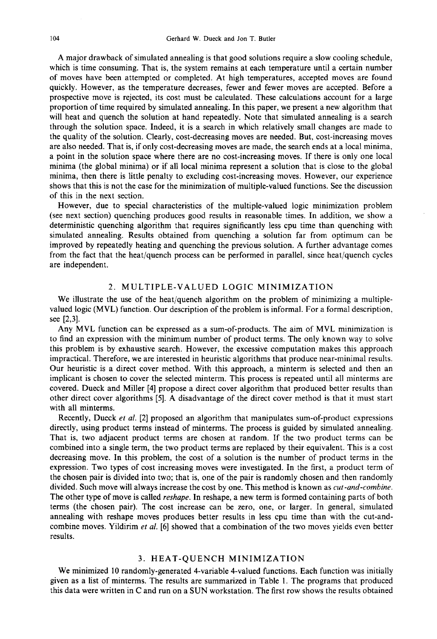A major drawback of simulated annealing is that good solutions require a slow cooling schedule, which is time consuming. That is, the system remains at each temperature until a certain number of moves have been attempted or completed. At high temperatures, accepted moves are found quickly. However, as the temperature decreases, fewer and fewer moves are accepted. Before a prospective move is rejected, its cost must be calculated. These calculations account for a large proportion of time required by simulated annealing. In this paper, we present a new algorithm that will heat and quench the solution at hand repeatedly. Note that simulated annealing is a search through the solution space. Indeed, it is a search in which relatively small changes are made to the quality of the solution. Clearly, cost-decreasing moves are needed. But, cost-increasing moves are also needed. That is, if only cost-decreasing moves are made, the search ends at a local minima, a point in the solution space where there are no cost-increasing moves. If there is only one local minima (the global minima) or if all local minima represent a solution that is close to the global minima, then there is little penalty to excluding cost-increasing moves. However, our experience shows that this is not the case for the minimization of multiple-valued functions. See the discussion of this in the next section.

However, due to special characteristics of the multiple-valued logic minimization problem (see next section) quenching produces good results in reasonable times. In addition, we show a deterministic quenching algorithm that requires significantly less cpu time than quenching with simulated annealing. Results obtained from quenching a solution far from optimum can be improved by repeatedly heating and quenching the previous solution. A further advantage comes from the fact that the heat/quench process can be performed in parallel, since heat/quench cycles are independent.

#### 2. MULTIPLE-VALUED LOGIC MINIMIZATION

We illustrate the use of the heat/quench algorithm on the problem of minimizing a multiplevalued logic (MVL) function. Our description of the problem is informal. For a formal description, see [2,3].

Any MVL function can be expressed as a sum-of-products. The aim of MVL minimization is to find an expression with the minimum number of product terms. The only known way to solve this problem is by exhaustive search. However, the excessive computation makes this approach impractical. Therefore, we are interested in heuristic algorithms that produce near-minimal results. Our heuristic is a direct cover method. With this approach, a minterm is selected and then an implicant is chosen to cover the selected minterm. This process is repeated until all minterms are covered. Dueck and Miller [4] propose a direct cover algorithm that produced better results than other direct cover algorithms [5]. A disadvantage of the direct cover method is that it must start with all minterms.

Recently, Dueck *et al.* [2] proposed an algorithm that manipulates sum-of-product expressions directly, using product terms instead of minterms. The process is guided by simulated annealing. That is, two adjacent product terms are chosen at random. If the two product terms can be combined into a single term, the two product terms are replaced by their equivalent. This is a cost decreasing move. In this problem, the cost of a solution is the number of product terms in the expression. Two types of cost increasing moves were investigated. In the first, a product term of the chosen pair is divided into two; that is, one of the pair is randomly chosen and then randomly divided. Such move will always increase the cost by one. This method is known as *cut-and-combine.* The other type of move is called *reshape.* In reshape, a new term is formed containing parts of both terms (the chosen pair). The cost increase can be zero, one, or larger. In general, simulated annealing with reshape moves produces better results in less cpu time than with the cut-andcombine moves. Yildirim *et al.* [6] showed that a combination of the two moves yields even better results.

#### 3. HEAT-QUENCH MINIMIZATION

We minimized 10 randomly-generated 4-variable 4-valued functions. Each function was initially given as a list of minterms. The results are summarized in Table 1. The programs that produced this data were written in C and run on a SUN workstation. The first row shows the results obtained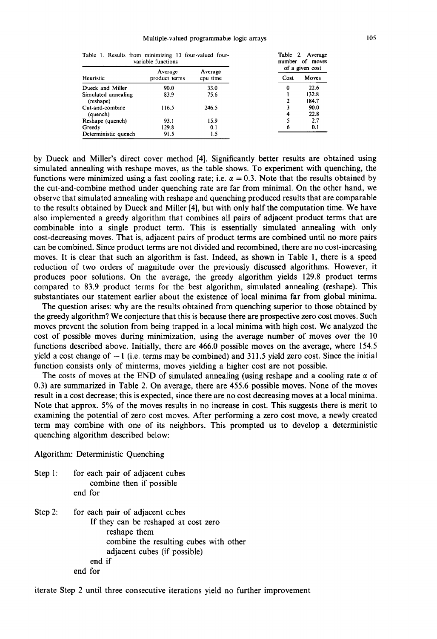|  |  |  |  | Table 1. Results from minimizing 10 four-valued four- |  |
|--|--|--|--|-------------------------------------------------------|--|
|  |  |  |  |                                                       |  |

|                                  | variable functions       |                     |      | number<br>of moves |                          |  |
|----------------------------------|--------------------------|---------------------|------|--------------------|--------------------------|--|
| Heuristic                        | Average<br>product terms | Average<br>cpu time | Cost |                    | of a given cost<br>Moves |  |
| Dueck and Miller                 | 90.0                     | 33.0                |      | $\bf{0}$           | 22.6                     |  |
| Simulated annealing<br>(reshape) | 83.9                     | 75.6                |      | 2                  | 132.8<br>184.7           |  |
| Cut-and-combine<br>(quench)      | 116.5                    | 246.5               |      | 3<br>4             | 90.0<br>22.8             |  |
| Reshape (quench)                 | 93.1                     | 15.9                |      |                    | 2.7                      |  |
| Greedv                           | 129.8                    | 0.1                 |      | 6                  | 0.1                      |  |
| Deterministic quench             | 91.5                     | 1.5                 |      |                    |                          |  |

by Dueck and Miller's direct cover method [4]. Significantly better results are obtained using simulated annealing with reshape moves, as the table shows. To experiment with quenching, the functions were minimized using a fast cooling rate; i.e.  $\alpha = 0.3$ . Note that the results obtained by the cut-and-combine method under quenching rate are far from minimal. On the other hand, we observe that simulated annealing with reshape and quenching produced results that are comparable to the results obtained by Dueck and Miller [4], but with only half the computation time. We have also implemented a greedy algorithm that combines all pairs of adjacent product terms that are combinable into a single product term. This is essentially simulated annealing with only cost-decreasing moves. That is, adjacent pairs of product terms are combined until no more pairs can be combined. Since product terms are not divided and recombined, there are no cost-increasing moves. It is clear that such an algorithm is fast. Indeed, as shown in Table 1, there is a speed reduction of two orders of magnitude over the previously discussed algorithms. However, it produces poor solutions. On the average, the greedy algorithm yields 129.8 product terms compared to 83.9 product terms for the best algorithm, simulated annealing (reshape). This substantiates our statement earlier about the existence of local minima far from global minima.

The question arises: why are the results obtained from quenching superior to those obtained by the greedy algorithm? We conjecture that this is because there are prospective zero cost moves. Such moves prevent the solution from being trapped in a local minima with high cost. We analyzed the cost of possible moves during minimization, using the average number of moves over the 10 functions described above. Initially, there are 466.0 possible moves on the average, where 154.5 yield a cost change of  $-1$  (i.e. terms may be combined) and 311.5 yield zero cost. Since the initial function consists only of minterms, moves yielding a higher cost are not possible.

The costs of moves at the END of simulated annealing (using reshape and a cooling rate  $\alpha$  of 0.3) are summarized in Table 2. On average, there are 455.6 possible moves. None of the moves result in a cost decrease; this is expected, since there are no cost decreasing moves at a local minima. Note that approx. 5% of the moves results in no increase in cost. This suggests there is merit to examining the potential of zero cost moves. After performing a zero cost move, a newly created term may combine with one of its neighbors. This prompted us to develop a deterministic quenching algorithm described below:

Algorithm: Deterministic Quenching

- Step 1: for each pair of adjacent cubes combine then if possible end for
- Step 2: for each pair of adjacent cubes If they can be reshaped at cost zero reshape them combine the resulting cubes with other adjacent cubes (if possible) end if end for

iterate Step 2 until three consecutive iterations yield no further improvement

Table 2. Average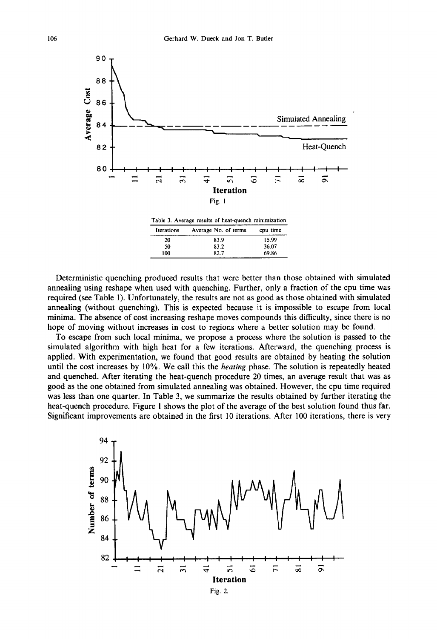

Deterministic quenching produced results that were better than those obtained with simulated annealing using reshape when used with quenching. Further, only a fraction of the cpu time was required (see Table 1). Unfortunately, the results are not as good as those obtained with simulated annealing (without quenching). This is expected because it is impossible to escape from local minima. The absence of cost increasing reshape moves compounds this difficulty, since there is no hope of moving without increases in cost to regions where a better solution may be found.

To escape from such local minima, we propose a process where the solution is passed to the simulated algorithm with high heat for a few iterations. Afterward, the quenching process is applied. With experimentation, we found that good results are obtained by heating the solution until the cost increases by 10%. We call this the *heating* phase. The solution is repeatedly heated and quenched. After iterating the heat-quench procedure 20 times, an average result that was as good as the one obtained from simulated annealing was obtained. However, the cpu time required was less than one quarter. In Table 3, we summarize the results obtained by further iterating the heat-quench procedure. Figure I shows the plot of the average of the best solution found thus far. Significant improvements are obtained in the first 10 iterations. After 100 iterations, there is very